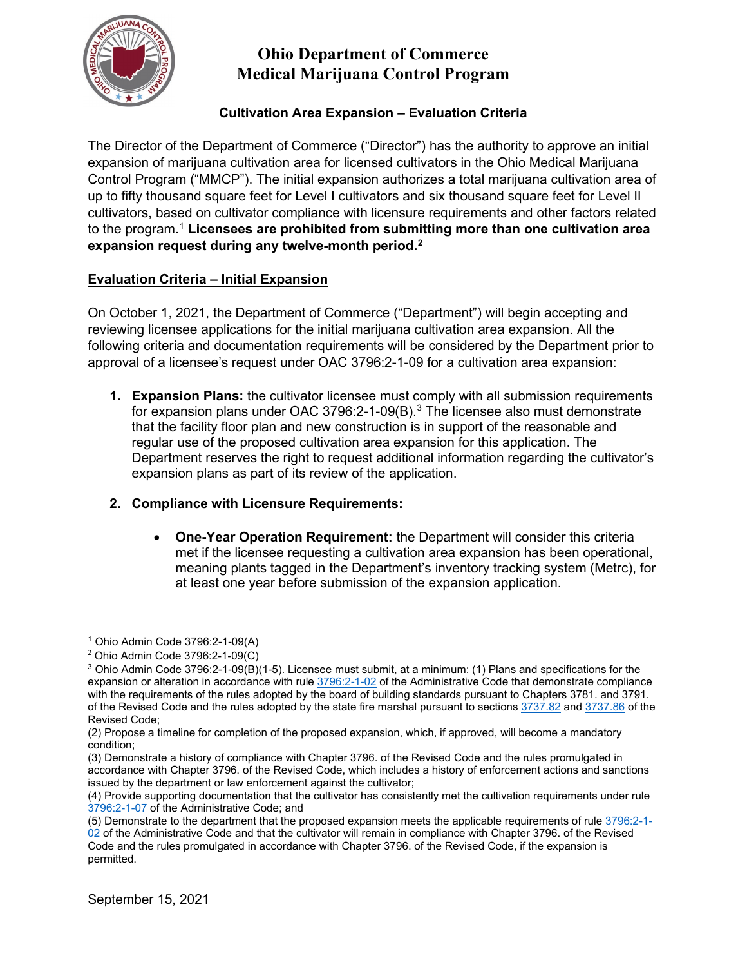

# **Ohio Department of Commerce Medical Marijuana Control Program**

### **Cultivation Area Expansion – Evaluation Criteria**

The Director of the Department of Commerce ("Director") has the authority to approve an initial expansion of marijuana cultivation area for licensed cultivators in the Ohio Medical Marijuana Control Program ("MMCP"). The initial expansion authorizes a total marijuana cultivation area of up to fifty thousand square feet for Level I cultivators and six thousand square feet for Level II cultivators, based on cultivator compliance with licensure requirements and other factors related to the program. [1](#page-0-0) **Licensees are prohibited from submitting more than one cultivation area expansion request during any twelve-month period.[2](#page-0-1)**

### **Evaluation Criteria – Initial Expansion**

On October 1, 2021, the Department of Commerce ("Department") will begin accepting and reviewing licensee applications for the initial marijuana cultivation area expansion. All the following criteria and documentation requirements will be considered by the Department prior to approval of a licensee's request under OAC 3796:2-1-09 for a cultivation area expansion:

**1. Expansion Plans:** the cultivator licensee must comply with all submission requirements for expansion plans under OAC [3](#page-0-2)796:2-1-09(B). $^3$  The licensee also must demonstrate that the facility floor plan and new construction is in support of the reasonable and regular use of the proposed cultivation area expansion for this application. The Department reserves the right to request additional information regarding the cultivator's expansion plans as part of its review of the application.

#### **2. Compliance with Licensure Requirements:**

• **One-Year Operation Requirement:** the Department will consider this criteria met if the licensee requesting a cultivation area expansion has been operational, meaning plants tagged in the Department's inventory tracking system (Metrc), for at least one year before submission of the expansion application.

(5) Demonstrate to the department that the proposed expansion meets the applicable requirements of rule [3796:2-1-](http://codes.ohio.gov/oac/3796:2-1-02)

<span id="page-0-0"></span><sup>1</sup> Ohio Admin Code 3796:2-1-09(A)

<span id="page-0-1"></span><sup>2</sup> Ohio Admin Code 3796:2-1-09(C)

<span id="page-0-2"></span><sup>3</sup> Ohio Admin Code 3796:2-1-09(B)(1-5). Licensee must submit, at a minimum: (1) Plans and specifications for the expansion or alteration in accordance with rule [3796:2-1-02](http://codes.ohio.gov/oac/3796:2-1-02) of the Administrative Code that demonstrate compliance with the requirements of the rules adopted by the board of building standards pursuant to Chapters 3781. and 3791. of the Revised Code and the rules adopted by the state fire marshal pursuant to sections [3737.82](http://codes.ohio.gov/orc/3737.82) and [3737.86](http://codes.ohio.gov/orc/3737.86) of the Revised Code;

<sup>(2)</sup> Propose a timeline for completion of the proposed expansion, which, if approved, will become a mandatory condition;

<sup>(3)</sup> Demonstrate a history of compliance with Chapter 3796. of the Revised Code and the rules promulgated in accordance with Chapter 3796. of the Revised Code, which includes a history of enforcement actions and sanctions issued by the department or law enforcement against the cultivator;

<sup>(4)</sup> Provide supporting documentation that the cultivator has consistently met the cultivation requirements under rule [3796:2-1-07](http://codes.ohio.gov/oac/3796:2-1-07) of the Administrative Code; and

 $02$  of the Administrative Code and that the cultivator will remain in compliance with Chapter 3796. of the Revised Code and the rules promulgated in accordance with Chapter 3796. of the Revised Code, if the expansion is permitted.